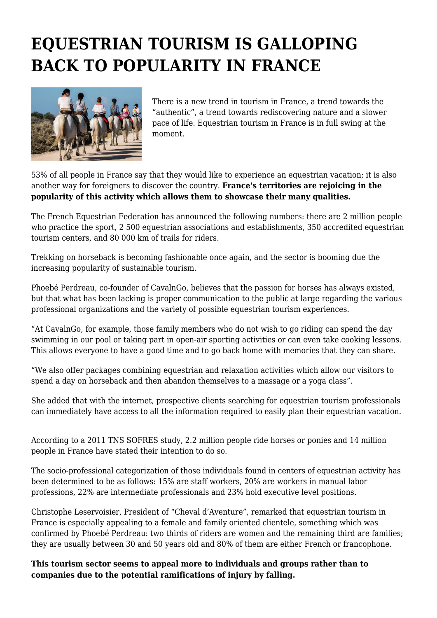## **EQUESTRIAN TOURISM IS GALLOPING BACK TO POPULARITY IN FRANCE**



There is a new trend in tourism in France, a trend towards the "authentic", a trend towards rediscovering nature and a slower pace of life. Equestrian tourism in France is in full swing at the moment.

53% of all people in France say that they would like to experience an equestrian vacation; it is also another way for foreigners to discover the country. **France's territories are rejoicing in the popularity of this activity which allows them to showcase their many qualities.**

The French Equestrian Federation has announced the following numbers: there are 2 million people who practice the sport, 2 500 equestrian associations and establishments, 350 accredited equestrian tourism centers, and 80 000 km of trails for riders.

Trekking on horseback is becoming fashionable once again, and the sector is booming due the increasing popularity of sustainable tourism.

Phoebé Perdreau, co-founder of CavalnGo, believes that the passion for horses has always existed, but that what has been lacking is proper communication to the public at large regarding the various professional organizations and the variety of possible equestrian tourism experiences.

"At CavalnGo, for example, those family members who do not wish to go riding can spend the day swimming in our pool or taking part in open-air sporting activities or can even take cooking lessons. This allows everyone to have a good time and to go back home with memories that they can share.

"We also offer packages combining equestrian and relaxation activities which allow our visitors to spend a day on horseback and then abandon themselves to a massage or a yoga class".

She added that with the internet, prospective clients searching for equestrian tourism professionals can immediately have access to all the information required to easily plan their equestrian vacation.

According to a 2011 TNS SOFRES study, 2.2 million people ride horses or ponies and 14 million people in France have stated their intention to do so.

The socio-professional categorization of those individuals found in centers of equestrian activity has been determined to be as follows: 15% are staff workers, 20% are workers in manual labor professions, 22% are intermediate professionals and 23% hold executive level positions.

Christophe Leservoisier, President of "Cheval d'Aventure", remarked that equestrian tourism in France is especially appealing to a female and family oriented clientele, something which was confirmed by Phoebé Perdreau: two thirds of riders are women and the remaining third are families; they are usually between 30 and 50 years old and 80% of them are either French or francophone.

**This tourism sector seems to appeal more to individuals and groups rather than to companies due to the potential ramifications of injury by falling.**